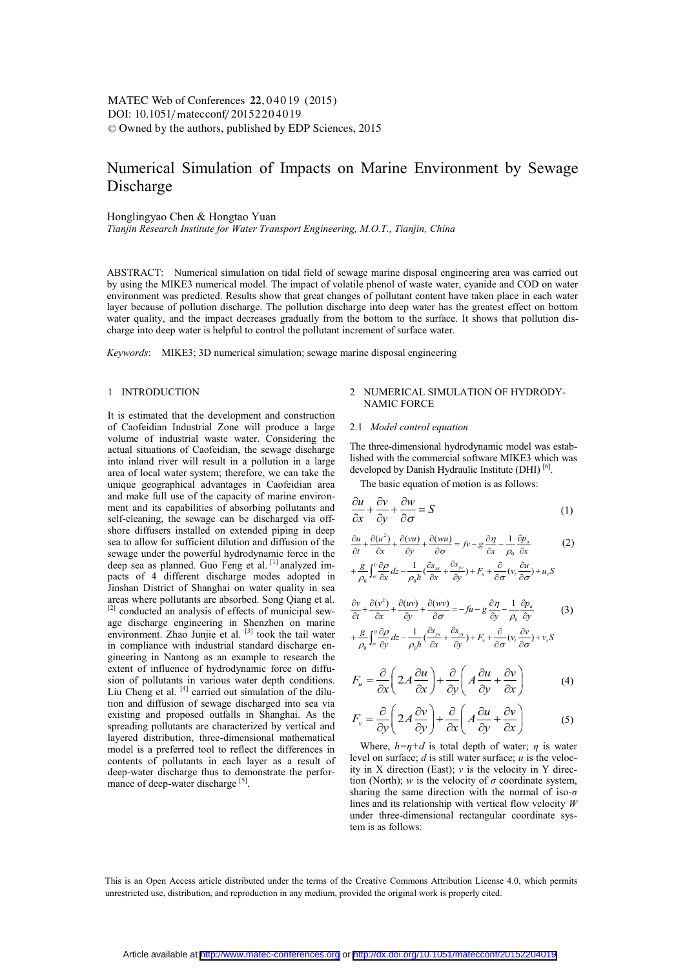# DOI:  $10.1051/m \text{ at } 20152204019$ -<sup>C</sup> Owned by the authors, published by EDP Sciences, 2015 MATEC Web of Conferences 22, 04019 (2015)

# Numerical Simulation of Impacts on Marine Environment by Sewage Discharge

Honglingyao Chen & Hongtao Yuan

*Tianjin Research Institute for Water Transport Engineering, M.O.T., Tianjin, China* 

ABSTRACT: Numerical simulation on tidal field of sewage marine disposal engineering area was carried out by using the MIKE3 numerical model. The impact of volatile phenol of waste water, cyanide and COD on water environment was predicted. Results show that great changes of pollutant content have taken place in each water layer because of pollution discharge. The pollution discharge into deep water has the greatest effect on bottom water quality, and the impact decreases gradually from the bottom to the surface. It shows that pollution discharge into deep water is helpful to control the pollutant increment of surface water.

*Keywords*: MIKE3; 3D numerical simulation; sewage marine disposal engineering

### 1 INTRODUCTION

It is estimated that the development and construction of Caofeidian Industrial Zone will produce a large volume of industrial waste water. Considering the actual situations of Caofeidian, the sewage discharge into inland river will result in a pollution in a large area of local water system; therefore, we can take the unique geographical advantages in Caofeidian area and make full use of the capacity of marine environment and its capabilities of absorbing pollutants and self-cleaning, the sewage can be discharged via offshore diffusers installed on extended piping in deep sea to allow for sufficient dilution and diffusion of the sewage under the powerful hydrodynamic force in the deep sea as planned. Guo Feng et al. [1] analyzed impacts of 4 different discharge modes adopted in Jinshan District of Shanghai on water quality in sea areas where pollutants are absorbed. Song Qiang et al. [2] conducted an analysis of effects of municipal sewage discharge engineering in Shenzhen on marine environment. Zhao Junjie et al. [3] took the tail water in compliance with industrial standard discharge engineering in Nantong as an example to research the extent of influence of hydrodynamic force on diffusion of pollutants in various water depth conditions. Liu Cheng et al. [4] carried out simulation of the dilution and diffusion of sewage discharged into sea via existing and proposed outfalls in Shanghai. As the spreading pollutants are characterized by vertical and layered distribution, three-dimensional mathematical model is a preferred tool to reflect the differences in contents of pollutants in each layer as a result of deep-water discharge thus to demonstrate the performance of deep-water discharge  $[3]$ .

### 2 NUMERICAL SIMULATION OF HYDRODY-NAMIC FORCE

### 2.1 *Model control equation*

The three-dimensional hydrodynamic model was established with the commercial software MIKE3 which was developed by Danish Hydraulic Institute (DHI)<sup>[6]</sup>.

The basic equation of motion is as follows:

$$
\frac{\partial u}{\partial x} + \frac{\partial v}{\partial y} + \frac{\partial w}{\partial \sigma} = S \tag{1}
$$

$$
\frac{\partial u}{\partial t} + \frac{\partial (u^2)}{\partial x} + \frac{\partial (vu)}{\partial y} + \frac{\partial (wu)}{\partial \sigma} = fv - g \frac{\partial \eta}{\partial x} - \frac{1}{\rho_0} \frac{\partial p_a}{\partial x}
$$
 (2)

$$
+\frac{g}{\rho_0}\int_{\sigma}^0\frac{\partial\rho}{\partial x}dz - \frac{1}{\rho_0h}(\frac{\partial s_{xx}}{\partial x} + \frac{\partial s_{yy}}{\partial y}) + F_u + \frac{\partial}{\partial\sigma}(v_t\frac{\partial u}{\partial \sigma}) + u_sS
$$

$$
\frac{\partial v}{\partial t} + \frac{\partial (v^2)}{\partial x} + \frac{\partial (uv)}{\partial y} + \frac{\partial (uv)}{\partial \sigma} = -fu - g \frac{\partial \eta}{\partial y} - \frac{1}{\rho_0} \frac{\partial p_a}{\partial y}
$$
(3)  
+ 
$$
\frac{g}{\rho_0} \left( \frac{\partial \rho}{\partial x} \right) dz - \frac{1}{\rho_0} \left( \frac{\partial s_{yx}}{\partial x} + \frac{\partial s_{yy}}{\partial y} \right) + F_v + \frac{\partial}{\partial \rho_0} \left( v, \frac{\partial v}{\partial x} \right) + v_v S
$$

$$
+\frac{g}{\rho_0}\int_{\sigma}^{\eta}\frac{\partial \rho}{\partial y}dz - \frac{1}{\rho_0 h}(\frac{\partial s_{yx}}{\partial x} + \frac{\partial s_{yy}}{\partial y}) + F_v + \frac{\partial}{\partial \sigma}(v_t \frac{\partial v}{\partial \sigma}) + v_s S
$$

$$
F_u = \frac{\partial}{\partial x} \left( 2A \frac{\partial u}{\partial x} \right) + \frac{\partial}{\partial y} \left( A \frac{\partial u}{\partial y} + \frac{\partial v}{\partial x} \right) \tag{4}
$$

$$
F_v = \frac{\partial}{\partial y} \left( 2A \frac{\partial v}{\partial y} \right) + \frac{\partial}{\partial x} \left( A \frac{\partial u}{\partial y} + \frac{\partial v}{\partial x} \right)
$$
(5)

Where,  $h=\eta+d$  is total depth of water;  $\eta$  is water level on surface; *d* is still water surface; *u* is the velocity in X direction (East); *v* is the velocity in Y direction (North); *w* is the velocity of  $\sigma$  coordinate system, sharing the same direction with the normal of iso-*σ* lines and its relationship with vertical flow velocity *W*  under three-dimensional rectangular coordinate system is as follows:

This is an Open Access article distributed under the terms of the Creative Commons Attribution License 4.0, which permits unrestricted use, distribution, and reproduction in any medium, provided the original work is properly cited.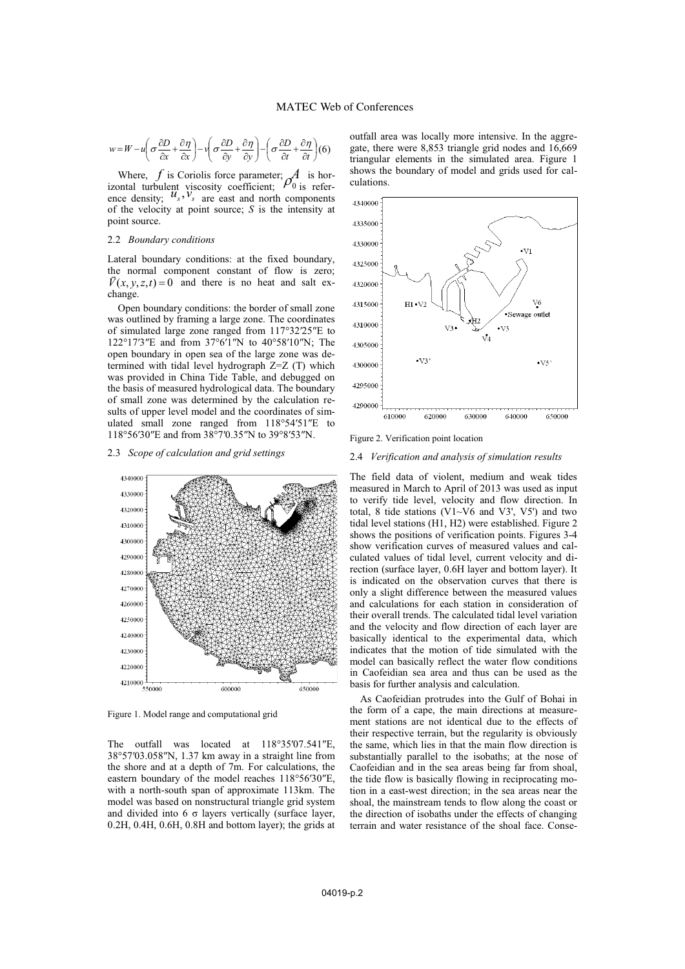$$
w = W - u \left( \sigma \frac{\partial D}{\partial x} + \frac{\partial \eta}{\partial x} \right) - v \left( \sigma \frac{\partial D}{\partial y} + \frac{\partial \eta}{\partial y} \right) - \left( \sigma \frac{\partial D}{\partial t} + \frac{\partial \eta}{\partial t} \right) (6)
$$

Where,  $f$  is Coriolis force parameter;  $\mathcal{A}$  is horizontal turbulent viscosity coefficient;  $\rho_0$  is refer-<br>ence density;  $u_s$ ,  $v_s$  are east and north components of the velocity at point source; *S* is the intensity at point source.

### 2.2 *Boundary conditions*

Lateral boundary conditions: at the fixed boundary, the normal component constant of flow is zero;  $\overrightarrow{V}(x, y, z, t) = 0$  and there is no heat and salt exchange.

Open boundary conditions: the border of small zone was outlined by framing a large zone. The coordinates of simulated large zone ranged from 117°32′25″E to 122°17′3″E and from 37°6′1″N to 40°58′10″N; The open boundary in open sea of the large zone was determined with tidal level hydrograph Z=Z (T) which was provided in China Tide Table, and debugged on the basis of measured hydrological data. The boundary of small zone was determined by the calculation results of upper level model and the coordinates of simulated small zone ranged from 118°54′51″E to 118°56′30″E and from 38°7′0.35″N to 39°8′53″N.

2.3 *Scope of calculation and grid settings* 



Figure 1. Model range and computational grid

The outfall was located at 118°35′07.541″E. 38°57′03.058″N, 1.37 km away in a straight line from the shore and at a depth of 7m. For calculations, the eastern boundary of the model reaches 118°56′30″E, with a north-south span of approximate 113km. The model was based on nonstructural triangle grid system and divided into  $6\sigma$  layers vertically (surface layer, 0.2H, 0.4H, 0.6H, 0.8H and bottom layer); the grids at





Figure 2. Verification point location

#### 2.4 *Verification and analysis of simulation results*

The field data of violent, medium and weak tides measured in March to April of 2013 was used as input to verify tide level, velocity and flow direction. In total, 8 tide stations (V1~V6 and V3', V5') and two tidal level stations (H1, H2) were established. Figure 2 shows the positions of verification points. Figures 3-4 show verification curves of measured values and calculated values of tidal level, current velocity and direction (surface layer, 0.6H layer and bottom layer). It is indicated on the observation curves that there is only a slight difference between the measured values and calculations for each station in consideration of their overall trends. The calculated tidal level variation and the velocity and flow direction of each layer are basically identical to the experimental data, which indicates that the motion of tide simulated with the model can basically reflect the water flow conditions in Caofeidian sea area and thus can be used as the basis for further analysis and calculation.

As Caofeidian protrudes into the Gulf of Bohai in the form of a cape, the main directions at measurement stations are not identical due to the effects of their respective terrain, but the regularity is obviously the same, which lies in that the main flow direction is substantially parallel to the isobaths; at the nose of Caofeidian and in the sea areas being far from shoal, the tide flow is basically flowing in reciprocating motion in a east-west direction; in the sea areas near the shoal, the mainstream tends to flow along the coast or the direction of isobaths under the effects of changing terrain and water resistance of the shoal face. Conse-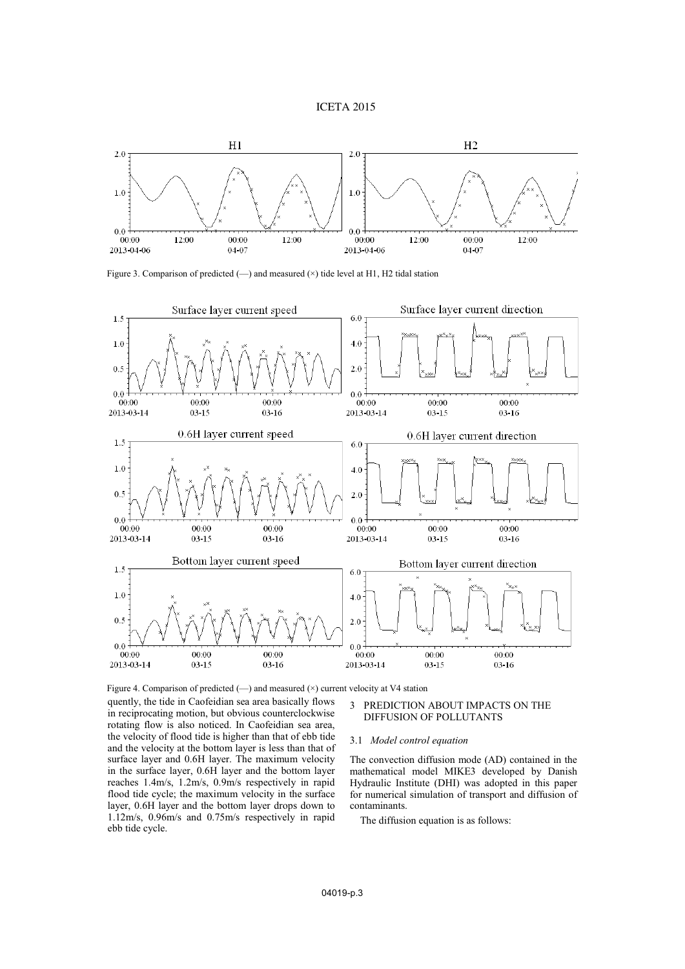### ICETA 2015



Figure 3. Comparison of predicted (—) and measured (×) tide level at H1, H2 tidal station



quently, the tide in Caofeidian sea area basically flows in reciprocating motion, but obvious counterclockwise rotating flow is also noticed. In Caofeidian sea area, the velocity of flood tide is higher than that of ebb tide and the velocity at the bottom layer is less than that of surface layer and 0.6H layer. The maximum velocity in the surface layer, 0.6H layer and the bottom layer reaches 1.4m/s, 1.2m/s, 0.9m/s respectively in rapid flood tide cycle; the maximum velocity in the surface layer, 0.6H layer and the bottom layer drops down to 1.12m/s, 0.96m/s and 0.75m/s respectively in rapid ebb tide cycle. Figure 4. Comparison of predicted (—) and measured (×) current velocity at V4 station

### 3 PREDICTION ABOUT IMPACTS ON THE DIFFUSION OF POLLUTANTS

### 3.1 *Model control equation*

The convection diffusion mode (AD) contained in the mathematical model MIKE3 developed by Danish Hydraulic Institute (DHI) was adopted in this paper for numerical simulation of transport and diffusion of contaminants.

The diffusion equation is as follows: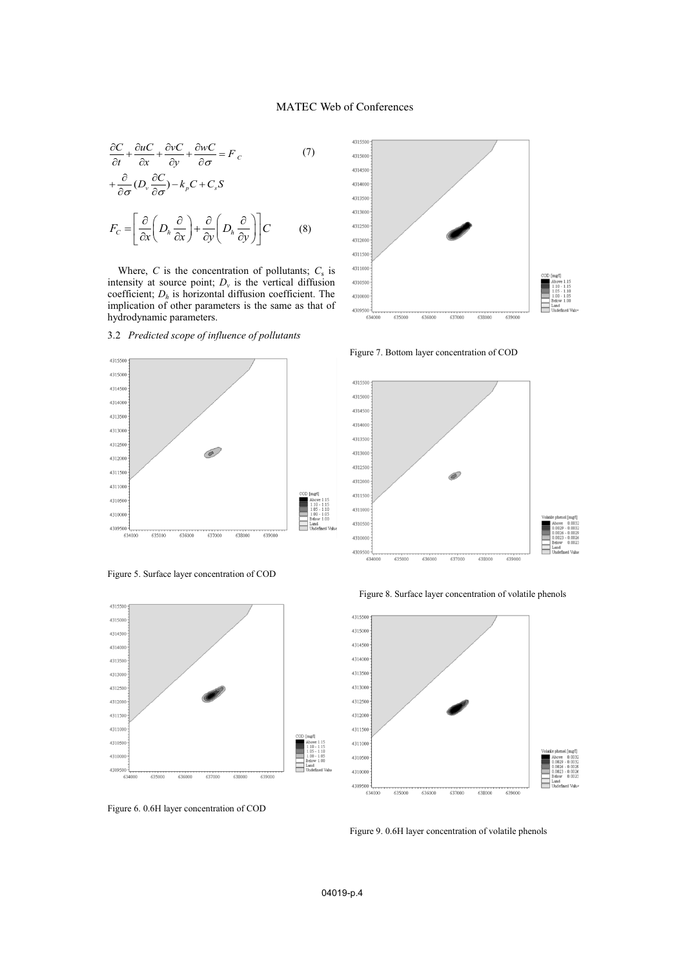$$
\frac{\partial C}{\partial t} + \frac{\partial u C}{\partial x} + \frac{\partial v C}{\partial y} + \frac{\partial w C}{\partial \sigma} = F_c
$$
 (7)

$$
+\frac{\partial}{\partial \sigma} (D_{\nu} \frac{\partial C}{\partial \sigma}) - k_{\rho} C + C_{s} S
$$

$$
F_{C} = \left[ \frac{\partial}{\partial x} \left( D_{h} \frac{\partial}{\partial x} \right) + \frac{\partial}{\partial y} \left( D_{h} \frac{\partial}{\partial y} \right) \right] C
$$
(8)

Where,  $C$  is the concentration of pollutants;  $C_s$  is intensity at source point;  $D_{\nu}$  is the vertical diffusion coefficient; *Dh* is horizontal diffusion coefficient. The implication of other parameters is the same as that of hydrodynamic parameters.



3.2 *Predicted scope of influence of pollutants* 





Figure 6. 0.6H layer concentration of COD



Figure 7. Bottom layer concentration of COD



Figure 8. Surface layer concentration of volatile phenols



Figure 9. 0.6H layer concentration of volatile phenols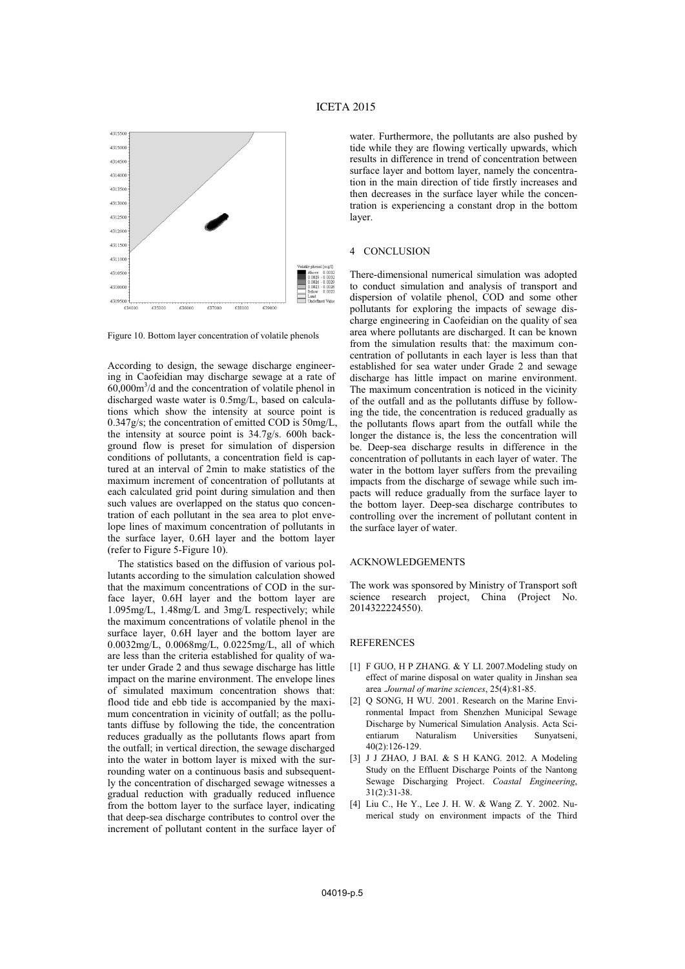

Figure 10. Bottom layer concentration of volatile phenols

According to design, the sewage discharge engineering in Caofeidian may discharge sewage at a rate of 60,000m3 /d and the concentration of volatile phenol in discharged waste water is 0.5mg/L, based on calculations which show the intensity at source point is 0.347g/s; the concentration of emitted COD is 50mg/L, the intensity at source point is 34.7g/s. 600h background flow is preset for simulation of dispersion conditions of pollutants, a concentration field is captured at an interval of 2min to make statistics of the maximum increment of concentration of pollutants at each calculated grid point during simulation and then such values are overlapped on the status quo concentration of each pollutant in the sea area to plot envelope lines of maximum concentration of pollutants in the surface layer, 0.6H layer and the bottom layer (refer to Figure 5-Figure 10).

The statistics based on the diffusion of various pollutants according to the simulation calculation showed that the maximum concentrations of COD in the surface layer, 0.6H layer and the bottom layer are 1.095mg/L, 1.48mg/L and 3mg/L respectively; while the maximum concentrations of volatile phenol in the surface layer, 0.6H layer and the bottom layer are 0.0032mg/L, 0.0068mg/L, 0.0225mg/L, all of which are less than the criteria established for quality of water under Grade 2 and thus sewage discharge has little impact on the marine environment. The envelope lines of simulated maximum concentration shows that: flood tide and ebb tide is accompanied by the maximum concentration in vicinity of outfall; as the pollutants diffuse by following the tide, the concentration reduces gradually as the pollutants flows apart from the outfall; in vertical direction, the sewage discharged into the water in bottom layer is mixed with the surrounding water on a continuous basis and subsequently the concentration of discharged sewage witnesses a gradual reduction with gradually reduced influence from the bottom layer to the surface layer, indicating that deep-sea discharge contributes to control over the increment of pollutant content in the surface layer of water. Furthermore, the pollutants are also pushed by tide while they are flowing vertically upwards, which results in difference in trend of concentration between surface layer and bottom layer, namely the concentration in the main direction of tide firstly increases and then decreases in the surface layer while the concentration is experiencing a constant drop in the bottom layer.

#### 4 CONCLUSION

There-dimensional numerical simulation was adopted to conduct simulation and analysis of transport and dispersion of volatile phenol, COD and some other pollutants for exploring the impacts of sewage discharge engineering in Caofeidian on the quality of sea area where pollutants are discharged. It can be known from the simulation results that: the maximum concentration of pollutants in each layer is less than that established for sea water under Grade 2 and sewage discharge has little impact on marine environment. The maximum concentration is noticed in the vicinity of the outfall and as the pollutants diffuse by following the tide, the concentration is reduced gradually as the pollutants flows apart from the outfall while the longer the distance is, the less the concentration will be. Deep-sea discharge results in difference in the concentration of pollutants in each layer of water. The water in the bottom layer suffers from the prevailing impacts from the discharge of sewage while such impacts will reduce gradually from the surface layer to the bottom layer. Deep-sea discharge contributes to controlling over the increment of pollutant content in the surface layer of water.

### ACKNOWLEDGEMENTS

The work was sponsored by Ministry of Transport soft science research project, China (Project No. 2014322224550).

### REFERENCES

- [1] F GUO, H P ZHANG. & Y LI. 2007.Modeling study on effect of marine disposal on water quality in Jinshan sea area .*Journal of marine sciences*, 25(4):81-85.
- [2] Q SONG, H WU. 2001. Research on the Marine Environmental Impact from Shenzhen Municipal Sewage Discharge by Numerical Simulation Analysis. Acta Scientiarum Naturalism Universities Sunyatseni, 40(2):126-129.
- [3] J J ZHAO, J BAI. & S H KANG. 2012. A Modeling Study on the Effluent Discharge Points of the Nantong Sewage Discharging Project. *Coastal Engineering*, 31(2):31-38.
- [4] Liu C., He Y., Lee J. H. W. & Wang Z. Y. 2002. Numerical study on environment impacts of the Third